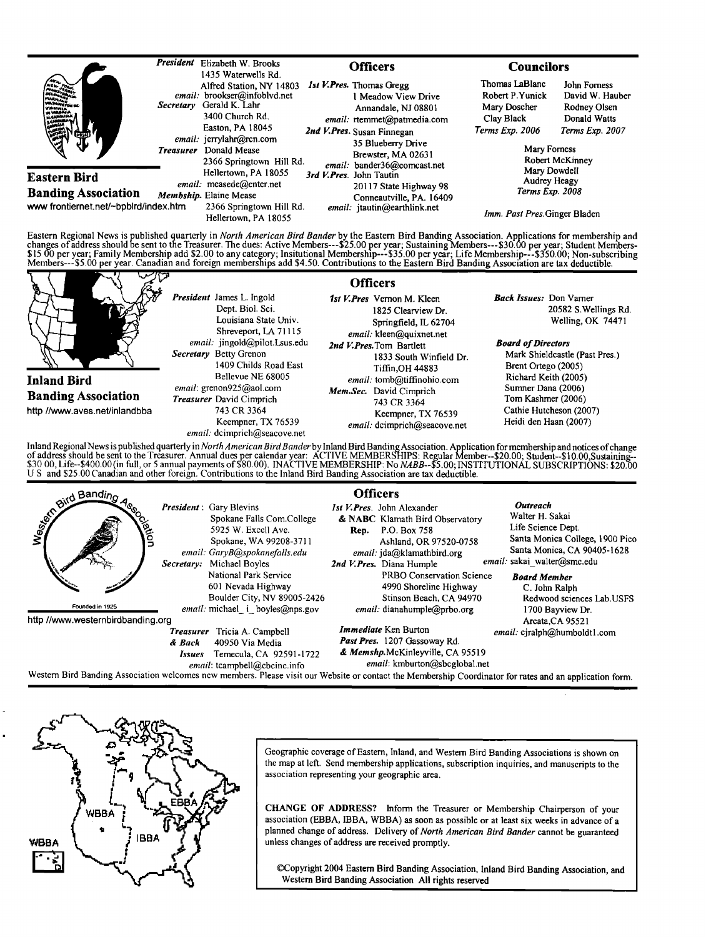| <b>MANUNGTON BA</b><br><b>Million</b><br>VE VIRSINIA<br>JI CARALINA<br><b>Alli</b><br>640 | President        | Elizabeth W. Brooks<br>1435 Waterwells Rd.                                                                                                                                                                                                                                                                                  | <b>Officers</b> |                                                                                                                                                                                                                                                                                                                                        | <b>Councilors</b>                                                                                                               |                                                                 |
|-------------------------------------------------------------------------------------------|------------------|-----------------------------------------------------------------------------------------------------------------------------------------------------------------------------------------------------------------------------------------------------------------------------------------------------------------------------|-----------------|----------------------------------------------------------------------------------------------------------------------------------------------------------------------------------------------------------------------------------------------------------------------------------------------------------------------------------------|---------------------------------------------------------------------------------------------------------------------------------|-----------------------------------------------------------------|
|                                                                                           | <b>Secretary</b> | Alfred Station, NY 14803<br>email: brookser@infoblvd.net<br>Gerald K. Lahr<br>3400 Church Rd.<br>Easton, PA 18045<br>email: jerrylahr@rcn.com<br>Donald Mease<br>2366 Springtown Hill Rd.<br>Hellertown, PA 18055<br>email: measede@enter.net<br>Membship. Elaine Mease<br>2366 Springtown Hill Rd.<br>Hellertown, PA 18055 |                 | <i>Ist V.Pres.</i> Thomas Gregg<br>1 Meadow View Drive<br>Annandale, NJ 08801<br>email: rtemmet@patmedia.com<br>2nd V.Pres. Susan Finnegan<br>35 Blueberry Drive<br>Brewster, MA 02631<br>email: bander36@comcast.net<br>3rd V.Pres. John Tautin<br>20117 State Highway 98<br>Conneautville, PA. 16409<br>email: jtautin@earthlink.net | Thomas LaBlanc<br>Robert P.Yunick<br>Mary Doscher<br>Clay Black                                                                 | John Forness<br>David W. Hauber<br>Rodney Olsen<br>Donald Watts |
|                                                                                           | <b>Treasurer</b> |                                                                                                                                                                                                                                                                                                                             |                 |                                                                                                                                                                                                                                                                                                                                        | Terms Exp. 2006<br>Terms Exp. 2007<br>Mary Forness<br><b>Robert McKinney</b><br>Mary Dowdell<br>Audrey Heagy<br>Terms Exp. 2008 |                                                                 |
| Eastern Bird<br><b>Banding Association</b><br>www frontiernet.net/~bpbird/index.htm       |                  |                                                                                                                                                                                                                                                                                                                             |                 |                                                                                                                                                                                                                                                                                                                                        |                                                                                                                                 |                                                                 |
|                                                                                           |                  |                                                                                                                                                                                                                                                                                                                             |                 |                                                                                                                                                                                                                                                                                                                                        | Imm. Past Pres. Ginger Bladen                                                                                                   |                                                                 |

Eastern Regional News is published quarterly in *North American Bird Bander* by the Eastern Bird Banding Association. Applications for membership and<br>changes of address should be sent to the Treasurer. The dues: Active Mem

| ∼                             |                                                                                                                                                                                                                                                                                                                                                    | <b>Officers</b>                                                                                                                                                                                                                                                                                                                                                                                                                                                                                            |                                                                                                                                                                                                                                                                                            |
|-------------------------------|----------------------------------------------------------------------------------------------------------------------------------------------------------------------------------------------------------------------------------------------------------------------------------------------------------------------------------------------------|------------------------------------------------------------------------------------------------------------------------------------------------------------------------------------------------------------------------------------------------------------------------------------------------------------------------------------------------------------------------------------------------------------------------------------------------------------------------------------------------------------|--------------------------------------------------------------------------------------------------------------------------------------------------------------------------------------------------------------------------------------------------------------------------------------------|
|                               | <b>President</b> James L. Ingold<br>Dept. Biol. Sci.<br>Louisiana State Univ.<br>Shreveport, LA 71115<br>email: jingold@pilot.Lsus.edu<br>Secretary Betty Grenon<br>1409 Childs Road East<br>Bellevue NE 68005<br>email: grenon925@aol.com<br><b>Treasurer</b> David Cimprich<br>743 CR 3364<br>Keempner, TX 76539<br>email: dcimprich@seacove.net | 1st V. Pres Vernon M. Kleen<br>1825 Clearview Dr.<br>Springfield, IL 62704<br>email: kleen@quixnet.net<br>2nd V. Pres. Tom Bartlett<br>1833 South Winfield Dr.<br>Tiffin, OH 44883<br>email: tomb@tiffinohio.com<br>Mem.Sec. David Cimprich<br>743 CR 3364<br>Keempner, TX 76539<br>email: dcimprich@seacove.net                                                                                                                                                                                           | <b>Back Issues:</b> Don Varner<br>20582 S. Wellings Rd.<br>Welling, OK 74471<br><b>Board of Directors</b><br>Mark Shieldcastle (Past Pres.)<br>Brent Ortego (2005)<br>Richard Keith (2005)<br>Sumner Dana (2006)<br>Tom Kashmer (2006)<br>Cathie Hutcheson (2007)<br>Heidi den Haan (2007) |
| <b>Inland Bird</b>            |                                                                                                                                                                                                                                                                                                                                                    |                                                                                                                                                                                                                                                                                                                                                                                                                                                                                                            |                                                                                                                                                                                                                                                                                            |
| <b>Banding Association</b>    |                                                                                                                                                                                                                                                                                                                                                    |                                                                                                                                                                                                                                                                                                                                                                                                                                                                                                            |                                                                                                                                                                                                                                                                                            |
| http //www.aves.net/inlandbba |                                                                                                                                                                                                                                                                                                                                                    |                                                                                                                                                                                                                                                                                                                                                                                                                                                                                                            |                                                                                                                                                                                                                                                                                            |
|                               |                                                                                                                                                                                                                                                                                                                                                    | Inland Regional News is published quarterly in North American Bird Bander by Inland Bird Banding Association. Application for membership and notices of change<br>of address should be sent to the Treasurer. Annual dues per calendar year: ACTIVE MEMBERSHIPS: Regular Member--\$20.00; Student--\$10.00, Sustaining-<br>$20.001$ if $\epsilon$ , $\epsilon$ 400.00 in full as formulations of $\epsilon$ 600.00). BLACTIVE MEMPERATURE M. MARIE $\epsilon$ 60 BIGTER FROM ALL OUR CRIP (CONTROL) 660.00 |                                                                                                                                                                                                                                                                                            |

of address should be sent to the Treasurer. Annual dues per calendar year: ACTIVE MEMBERSHIPS: Regular Member--\$20.00; Student--\$10.00,Sustaining--<br>\$30 00, Life--\$400.00 (in full, or 5 annual payments of \$80.00). INACTIVE **U S and \$25.00 Canadian and other foreign. Contributions tothe Inland Bird Banding Association are tax deductible.** 

|                                       |                                                                                                                                                   | <b>Officers</b>                                                                                                                                      |                                                                                                                                                    |
|---------------------------------------|---------------------------------------------------------------------------------------------------------------------------------------------------|------------------------------------------------------------------------------------------------------------------------------------------------------|----------------------------------------------------------------------------------------------------------------------------------------------------|
| <b>Strid Banding</b><br><b>RANDIN</b> | <b>President</b> : Gary Blevins<br>Spokane Falls Com.College<br>5925 W. Excell Ave.<br>Spokane, WA 99208-3711<br>email: GaryB@spokanefalls.edu    | <i>Ist V.Pres.</i> John Alexander<br>& NABC Klamath Bird Observatory<br>P.O. Box 758<br>Rep.<br>Ashland, OR 97520-0758<br>email: jda@klamathbird.org | Outreach<br>Walter H. Sakai<br>Life Science Dept.<br>Santa Monica College, 1900 Pico<br>Santa Monica, CA 90405-1628<br>email: sakai walter@smc.edu |
| Founded in 1925                       | Secretary: Michael Boyles<br>National Park Service<br>601 Nevada Highway<br>Boulder City, NV 89005-2426<br><i>email:</i> michael i boyles@nps.gov | 2nd V.Pres. Diana Humple<br>PRBO Conservation Science<br>4990 Shoreline Highway<br>Stinson Beach, CA 94970<br>$email:$ dianahumple@prbo.org          | <b>Board Member</b><br>C. John Ralph<br>Redwood sciences Lab.USFS<br>1700 Bayview Dr.                                                              |
| http://www.westernbirdbanding.org     | Tricia A. Campbell<br><b>Treasurer</b><br>40950 Via Media<br>& Back<br>Temecula, CA 92591-1722<br>Issues<br>email: tcampbell@cbcinc.info          | <b>Immediate</b> Ken Burton<br>Past Pres. 1207 Gassoway Rd.<br>& Memshp.McKinleyville, CA 95519<br>email: kmburton@sbcglobal.net                     | Arcata, CA 95521<br>email: cjralph@humboldt1.com                                                                                                   |

Western Bird Banding Association welcomes new members. Please visit our Website or contact the Membership Coordinator for rates and an application form.



**Geographic coverage of Eastern, Inland, and Western Bird Banding Associations is shown on the map at left. Send membership applications, subscription inquiries, and manuscripts to the association representing your geographic area.** 

**CHANGE OF ADDRESS? Inform the Treasurer or Membership Chairperson of your association (EBBA, IBBA, WBBA) as soon as possible or at least six weeks in advance of a planned change of address. Delivery of North American Bird Bander cannot be guaranteed unless changes of address are received promptly.** 

**¸Copyright 2004 Eastern Bird Banding Association, Inland Bird Banding Association, and Western Bird Banding Association All rights reserved**